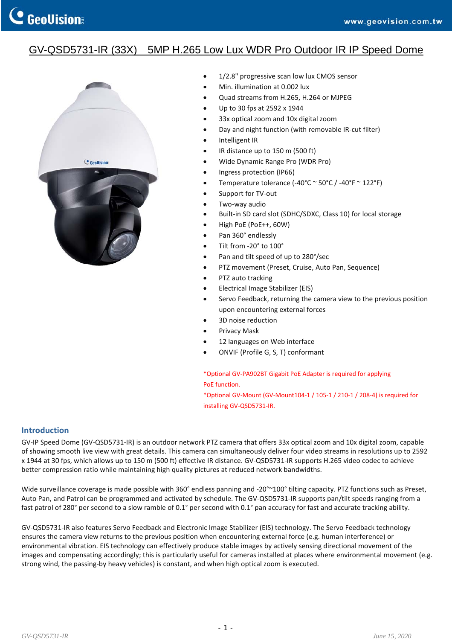## GV-QSD5731-IR (33X) 5MP H.265 Low Lux WDR Pro Outdoor IR IP Speed Dome



- 1/2.8" progressive scan low lux CMOS sensor
- Min. illumination at 0.002 lux
- Quad streams from H.265, H.264 or MJPEG
- Up to 30 fps at 2592 x 1944
- 33x optical zoom and 10x digital zoom
- Day and night function (with removable IR‐cut filter)
- Intelligent IR
- IR distance up to 150 m (500 ft)
- Wide Dynamic Range Pro (WDR Pro)
- Ingress protection (IP66)
- Temperature tolerance (‐40°C ~ 50°C / ‐40°F ~ 122°F)
- Support for TV‐out
- Two‐way audio
- Built-in SD card slot (SDHC/SDXC, Class 10) for local storage
- High PoE (PoE++, 60W)
- Pan 360° endlessly
- Tilt from ‐20° to 100°
- Pan and tilt speed of up to 280°/sec
- PTZ movement (Preset, Cruise, Auto Pan, Sequence)
- PTZ auto tracking
- Electrical Image Stabilizer (EIS)
- Servo Feedback, returning the camera view to the previous position upon encountering external forces
- 3D noise reduction
- Privacy Mask
- 12 languages on Web interface
- ONVIF (Profile G, S, T) conformant

\*Optional GV‐PA902BT Gigabit PoE Adapter is required for applying PoE function.

\*Optional GV‐Mount (GV‐Mount104‐1 / 105‐1 / 210‐1 / 208‐4) is required for installing GV‐QSD5731‐IR.

## **Introduction**

GV‐IP Speed Dome (GV‐QSD5731‐IR) is an outdoor network PTZ camera that offers 33x optical zoom and 10x digital zoom, capable of showing smooth live view with great details. This camera can simultaneously deliver four video streams in resolutions up to 2592 x 1944 at 30 fps, which allows up to 150 m (500 ft) effective IR distance. GV‐QSD5731‐IR supports H.265 video codec to achieve better compression ratio while maintaining high quality pictures at reduced network bandwidths.

Wide surveillance coverage is made possible with 360° endless panning and -20°~100° tilting capacity. PTZ functions such as Preset, Auto Pan, and Patrol can be programmed and activated by schedule. The GV‐QSD5731‐IR supports pan/tilt speeds ranging from a fast patrol of 280° per second to a slow ramble of 0.1° per second with 0.1° pan accuracy for fast and accurate tracking ability.

GV‐QSD5731‐IR also features Servo Feedback and Electronic Image Stabilizer (EIS) technology. The Servo Feedback technology ensures the camera view returns to the previous position when encountering external force (e.g. human interference) or environmental vibration. EIS technology can effectively produce stable images by actively sensing directional movement of the images and compensating accordingly; this is particularly useful for cameras installed at places where environmental movement (e.g. strong wind, the passing‐by heavy vehicles) is constant, and when high optical zoom is executed.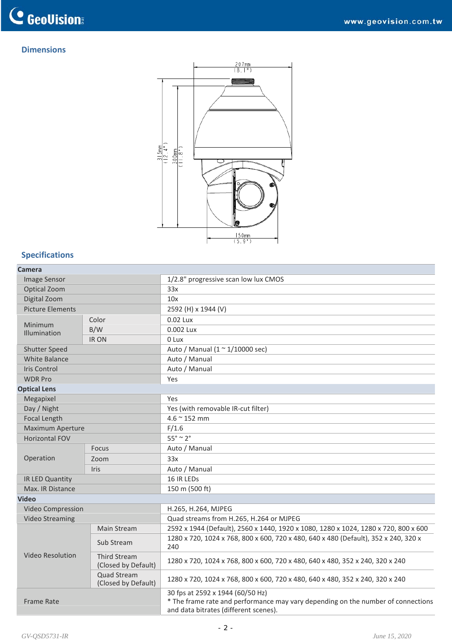## **Dimensions**



## **Specifications**

| Camera |  |
|--------|--|
|--------|--|

| camera                  |                                            |                                                                                                                                                               |  |  |
|-------------------------|--------------------------------------------|---------------------------------------------------------------------------------------------------------------------------------------------------------------|--|--|
| Image Sensor            |                                            | 1/2.8" progressive scan low lux CMOS                                                                                                                          |  |  |
| Optical Zoom            |                                            | 33x                                                                                                                                                           |  |  |
| Digital Zoom            |                                            | 10x                                                                                                                                                           |  |  |
| <b>Picture Elements</b> |                                            | 2592 (H) x 1944 (V)                                                                                                                                           |  |  |
| Minimum<br>Illumination | Color                                      | $0.02$ Lux                                                                                                                                                    |  |  |
|                         | B/W                                        | 0.002 Lux                                                                                                                                                     |  |  |
|                         | <b>IRON</b>                                | 0 Lux                                                                                                                                                         |  |  |
| <b>Shutter Speed</b>    |                                            | Auto / Manual (1 ~ 1/10000 sec)                                                                                                                               |  |  |
| <b>White Balance</b>    |                                            | Auto / Manual                                                                                                                                                 |  |  |
| <b>Iris Control</b>     |                                            | Auto / Manual                                                                                                                                                 |  |  |
| <b>WDR Pro</b>          |                                            | Yes                                                                                                                                                           |  |  |
| <b>Optical Lens</b>     |                                            |                                                                                                                                                               |  |  |
| Megapixel               |                                            | Yes                                                                                                                                                           |  |  |
| Day / Night             |                                            | Yes (with removable IR-cut filter)                                                                                                                            |  |  |
| <b>Focal Length</b>     |                                            | $4.6 \approx 152$ mm                                                                                                                                          |  |  |
| <b>Maximum Aperture</b> |                                            | F/1.6                                                                                                                                                         |  |  |
| <b>Horizontal FOV</b>   |                                            | $55^\circ \approx 2^\circ$                                                                                                                                    |  |  |
|                         | <b>Focus</b>                               | Auto / Manual                                                                                                                                                 |  |  |
| Operation               | Zoom                                       | 33x                                                                                                                                                           |  |  |
|                         | Iris                                       | Auto / Manual                                                                                                                                                 |  |  |
| IR LED Quantity         |                                            | 16 IR LEDs                                                                                                                                                    |  |  |
| Max. IR Distance        |                                            | 150 m (500 ft)                                                                                                                                                |  |  |
| <b>Video</b>            |                                            |                                                                                                                                                               |  |  |
| Video Compression       |                                            | H.265, H.264, MJPEG                                                                                                                                           |  |  |
| <b>Video Streaming</b>  |                                            | Quad streams from H.265, H.264 or MJPEG                                                                                                                       |  |  |
| <b>Video Resolution</b> | Main Stream                                | 2592 x 1944 (Default), 2560 x 1440, 1920 x 1080, 1280 x 1024, 1280 x 720, 800 x 600                                                                           |  |  |
|                         | Sub Stream                                 | 1280 x 720, 1024 x 768, 800 x 600, 720 x 480, 640 x 480 (Default), 352 x 240, 320 x<br>240                                                                    |  |  |
|                         | <b>Third Stream</b><br>(Closed by Default) | 1280 x 720, 1024 x 768, 800 x 600, 720 x 480, 640 x 480, 352 x 240, 320 x 240                                                                                 |  |  |
|                         | <b>Quad Stream</b><br>(Closed by Default)  | 1280 x 720, 1024 x 768, 800 x 600, 720 x 480, 640 x 480, 352 x 240, 320 x 240                                                                                 |  |  |
| <b>Frame Rate</b>       |                                            | 30 fps at 2592 x 1944 (60/50 Hz)<br>* The frame rate and performance may vary depending on the number of connections<br>and data bitrates (different scenes). |  |  |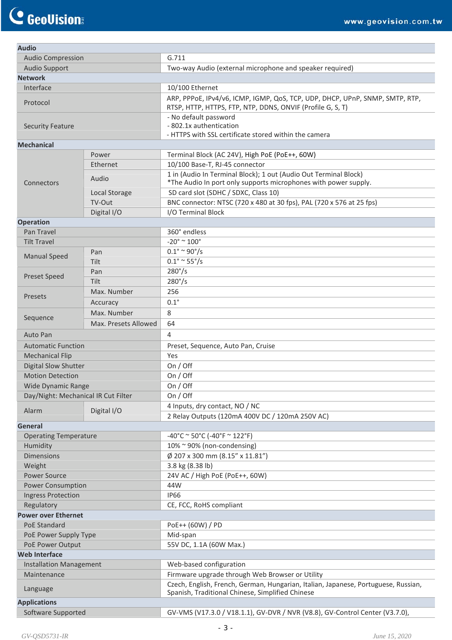| <b>Audio</b>                        |                      |                                                                                                                                            |  |  |
|-------------------------------------|----------------------|--------------------------------------------------------------------------------------------------------------------------------------------|--|--|
| <b>Audio Compression</b>            |                      | G.711                                                                                                                                      |  |  |
| <b>Audio Support</b>                |                      | Two-way Audio (external microphone and speaker required)                                                                                   |  |  |
| <b>Network</b>                      |                      |                                                                                                                                            |  |  |
| Interface                           |                      | 10/100 Ethernet                                                                                                                            |  |  |
| Protocol                            |                      | ARP, PPPoE, IPv4/v6, ICMP, IGMP, QoS, TCP, UDP, DHCP, UPnP, SNMP, SMTP, RTP,<br>RTSP, HTTP, HTTPS, FTP, NTP, DDNS, ONVIF (Profile G, S, T) |  |  |
| <b>Security Feature</b>             |                      | - No default password<br>- 802.1x authentication<br>- HTTPS with SSL certificate stored within the camera                                  |  |  |
| <b>Mechanical</b>                   |                      |                                                                                                                                            |  |  |
|                                     | Power                | Terminal Block (AC 24V), High PoE (PoE++, 60W)                                                                                             |  |  |
|                                     | Ethernet             | 10/100 Base-T, RJ-45 connector                                                                                                             |  |  |
| Connectors                          | Audio                | 1 in (Audio In Terminal Block); 1 out (Audio Out Terminal Block)<br>*The Audio In port only supports microphones with power supply.        |  |  |
|                                     | Local Storage        | SD card slot (SDHC / SDXC, Class 10)                                                                                                       |  |  |
|                                     | TV-Out               | BNC connector: NTSC (720 x 480 at 30 fps), PAL (720 x 576 at 25 fps)                                                                       |  |  |
|                                     | Digital I/O          | I/O Terminal Block                                                                                                                         |  |  |
| <b>Operation</b>                    |                      |                                                                                                                                            |  |  |
| Pan Travel                          |                      | 360° endless                                                                                                                               |  |  |
| <b>Tilt Travel</b>                  |                      | $-20^\circ \approx 100^\circ$                                                                                                              |  |  |
|                                     | Pan                  | $0.1^{\circ} \approx 90^{\circ}/s$                                                                                                         |  |  |
| <b>Manual Speed</b>                 | Tilt                 | $0.1^{\circ} \sim 55^{\circ}/s$                                                                                                            |  |  |
|                                     | Pan                  | $280^{\circ}/s$                                                                                                                            |  |  |
| <b>Preset Speed</b>                 | Tilt                 | $280^{\circ}/s$                                                                                                                            |  |  |
|                                     | Max. Number          | 256                                                                                                                                        |  |  |
| Presets                             |                      | $0.1^\circ$                                                                                                                                |  |  |
|                                     | Accuracy             |                                                                                                                                            |  |  |
| Sequence                            | Max. Number          | 8                                                                                                                                          |  |  |
|                                     | Max. Presets Allowed | 64                                                                                                                                         |  |  |
| <b>Auto Pan</b>                     |                      | 4                                                                                                                                          |  |  |
| <b>Automatic Function</b>           |                      | Preset, Sequence, Auto Pan, Cruise                                                                                                         |  |  |
| <b>Mechanical Flip</b>              |                      | Yes                                                                                                                                        |  |  |
| <b>Digital Slow Shutter</b>         |                      | On / Off                                                                                                                                   |  |  |
| <b>Motion Detection</b>             |                      | On / Off                                                                                                                                   |  |  |
| Wide Dynamic Range                  |                      | On $/$ Off                                                                                                                                 |  |  |
| Day/Night: Mechanical IR Cut Filter |                      | On / Off                                                                                                                                   |  |  |
|                                     |                      | 4 Inputs, dry contact, NO / NC                                                                                                             |  |  |
| Alarm                               | Digital I/O          | 2 Relay Outputs (120mA 400V DC / 120mA 250V AC)                                                                                            |  |  |
| General                             |                      |                                                                                                                                            |  |  |
| <b>Operating Temperature</b>        |                      | $-40^{\circ}$ C ~ 50°C (-40°F ~ 122°F)                                                                                                     |  |  |
| Humidity                            |                      | 10% ~ 90% (non-condensing)                                                                                                                 |  |  |
| <b>Dimensions</b>                   |                      | Ø 207 x 300 mm (8.15" x 11.81")                                                                                                            |  |  |
| Weight                              |                      | 3.8 kg (8.38 lb)                                                                                                                           |  |  |
| <b>Power Source</b>                 |                      | 24V AC / High PoE (PoE++, 60W)                                                                                                             |  |  |
| <b>Power Consumption</b>            |                      | 44W                                                                                                                                        |  |  |
| <b>Ingress Protection</b>           |                      | <b>IP66</b>                                                                                                                                |  |  |
| Regulatory                          |                      | CE, FCC, RoHS compliant                                                                                                                    |  |  |
| <b>Power over Ethernet</b>          |                      |                                                                                                                                            |  |  |
| PoE Standard                        |                      | PoE++ (60W) / PD                                                                                                                           |  |  |
| PoE Power Supply Type               |                      | Mid-span                                                                                                                                   |  |  |
| PoE Power Output                    |                      | 55V DC, 1.1A (60W Max.)                                                                                                                    |  |  |
| <b>Web Interface</b>                |                      |                                                                                                                                            |  |  |
| <b>Installation Management</b>      |                      | Web-based configuration                                                                                                                    |  |  |
| Maintenance                         |                      | Firmware upgrade through Web Browser or Utility                                                                                            |  |  |
| Language                            |                      | Czech, English, French, German, Hungarian, Italian, Japanese, Portuguese, Russian,<br>Spanish, Traditional Chinese, Simplified Chinese     |  |  |
| <b>Applications</b>                 |                      |                                                                                                                                            |  |  |
| Software Supported                  |                      | GV-VMS (V17.3.0 / V18.1.1), GV-DVR / NVR (V8.8), GV-Control Center (V3.7.0),                                                               |  |  |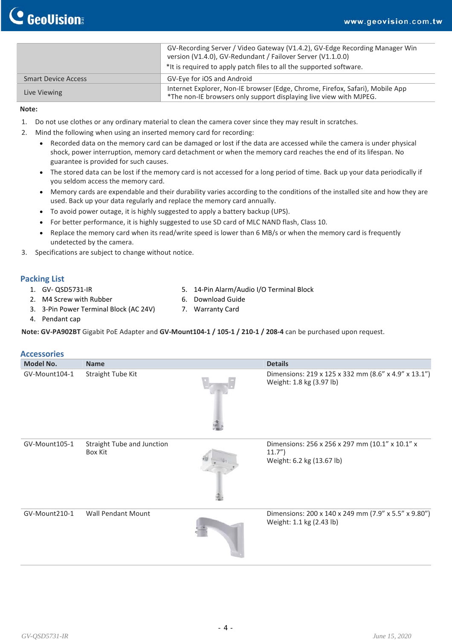|                            | GV-Recording Server / Video Gateway (V1.4.2), GV-Edge Recording Manager Win<br>version (V1.4.0), GV-Redundant / Failover Server (V1.1.0.0)          |
|----------------------------|-----------------------------------------------------------------------------------------------------------------------------------------------------|
|                            | *It is required to apply patch files to all the supported software.                                                                                 |
| <b>Smart Device Access</b> | GV-Eye for iOS and Android                                                                                                                          |
| Live Viewing               | Internet Explorer, Non-IE browser (Edge, Chrome, Firefox, Safari), Mobile App<br>*The non-IE browsers only support displaying live view with MJPEG. |

#### **Note:**

- 1. Do not use clothes or any ordinary material to clean the camera cover since they may result in scratches.
- 2. Mind the following when using an inserted memory card for recording:
	- Recorded data on the memory card can be damaged or lost if the data are accessed while the camera is under physical shock, power interruption, memory card detachment or when the memory card reaches the end of its lifespan. No guarantee is provided for such causes.
	- The stored data can be lost if the memory card is not accessed for a long period of time. Back up your data periodically if you seldom access the memory card.
	- Memory cards are expendable and their durability varies according to the conditions of the installed site and how they are used. Back up your data regularly and replace the memory card annually.
	- To avoid power outage, it is highly suggested to apply a battery backup (UPS).
	- For better performance, it is highly suggested to use SD card of MLC NAND flash, Class 10.
	- Replace the memory card when its read/write speed is lower than 6 MB/s or when the memory card is frequently undetected by the camera.
- 3. Specifications are subject to change without notice.

### **Packing List**

- 1. GV‐ QSD5731‐IR
- 2. M4 Screw with Rubber
- 3. 3‐Pin Power Terminal Block (AC 24V)
- 5. 14‐Pin Alarm/Audio I/O Terminal Block
- 6. Download Guide 7. Warranty Card

4. Pendant cap

Note: GV-PA902BT Gigabit PoE Adapter and GV-Mount104-1 / 105-1 / 210-1 / 208-4 can be purchased upon request.

| <b>Accessories</b> |                                       |                                                                                       |
|--------------------|---------------------------------------|---------------------------------------------------------------------------------------|
| <b>Model No.</b>   | <b>Name</b>                           | <b>Details</b>                                                                        |
| GV-Mount104-1      | Straight Tube Kit                     | Dimensions: 219 x 125 x 332 mm (8.6" x 4.9" x 13.1")<br>Weight: 1.8 kg (3.97 lb)      |
| GV-Mount105-1      | Straight Tube and Junction<br>Box Kit | Dimensions: 256 x 256 x 297 mm (10.1" x 10.1" x<br>11.7"<br>Weight: 6.2 kg (13.67 lb) |
| GV-Mount210-1      | <b>Wall Pendant Mount</b>             | Dimensions: 200 x 140 x 249 mm (7.9" x 5.5" x 9.80")<br>Weight: 1.1 kg (2.43 lb)      |